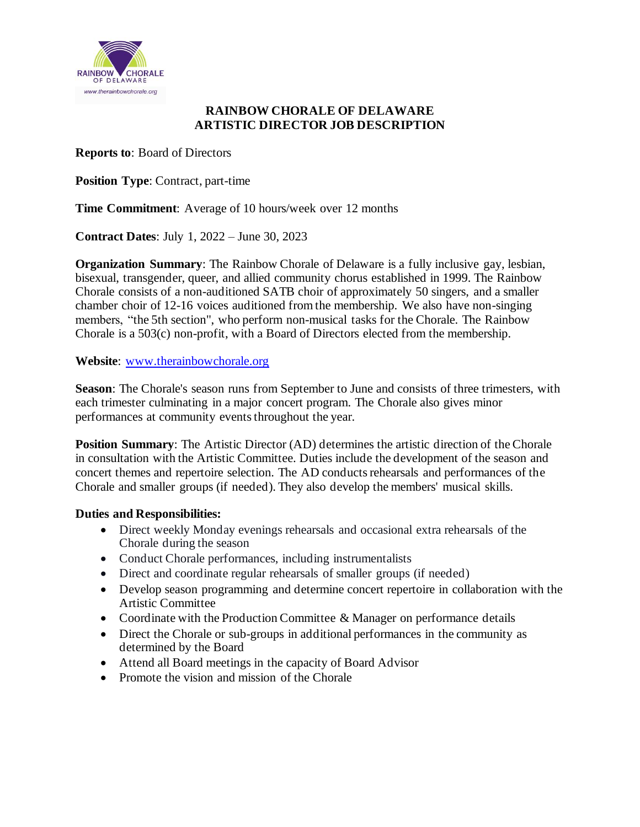

### **RAINBOW CHORALE OF DELAWARE ARTISTIC DIRECTOR JOB DESCRIPTION**

**Reports to**: Board of Directors

**Position Type**: Contract, part-time

**Time Commitment**: Average of 10 hours/week over 12 months

**Contract Dates**: July 1, 2022 – June 30, 2023

**Organization Summary**: The Rainbow Chorale of Delaware is a fully inclusive gay, lesbian, bisexual, transgender, queer, and allied community chorus established in 1999. The Rainbow Chorale consists of a non-auditioned SATB choir of approximately 50 singers, and a smaller chamber choir of 12-16 voices auditioned from the membership. We also have non-singing members, "the 5th section", who perform non-musical tasks for the Chorale. The Rainbow Chorale is a 503(c) non-profit, with a Board of Directors elected from the membership.

**Website**: www.therainbowchorale.org

**Season**: The Chorale's season runs from September to June and consists of three trimesters, with each trimester culminating in a major concert program. The Chorale also gives minor performances at community events throughout the year.

**Position Summary**: The Artistic Director (AD) determines the artistic direction of the Chorale in consultation with the Artistic Committee. Duties include the development of the season and concert themes and repertoire selection. The AD conducts rehearsals and performances of the Chorale and smaller groups (if needed). They also develop the members' musical skills.

### **Duties and Responsibilities:**

- Direct weekly Monday evenings rehearsals and occasional extra rehearsals of the Chorale during the season
- Conduct Chorale performances, including instrumentalists
- Direct and coordinate regular rehearsals of smaller groups (if needed)
- Develop season programming and determine concert repertoire in collaboration with the Artistic Committee
- Coordinate with the Production Committee & Manager on performance details
- Direct the Chorale or sub-groups in additional performances in the community as determined by the Board
- Attend all Board meetings in the capacity of Board Advisor
- Promote the vision and mission of the Chorale